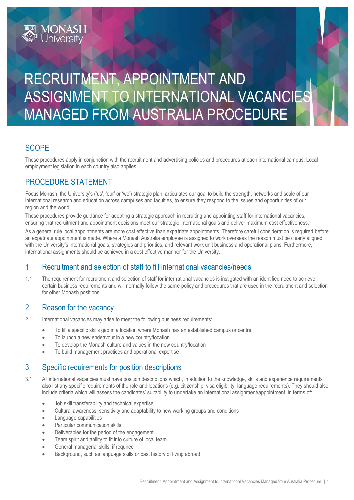# RECRUITMENT, APPOINTMENT AND ASSIGNMENT TO INTERNATIONAL VACANCIES MANAGED FROM AUSTRALIA PROCEDURE

## **SCOPE**

These procedures apply in conjunction with the recruitment and advertising policies and procedures at each international campus. Local employment legislation in each country also applies.

### PROCEDURE STATEMENT

**MONASH**<br>University

Focus Monash, the University's ('us', 'our' or 'we') strategic plan, articulates our goal to build the strength, networks and scale of our international research and education across campuses and faculties, to ensure they respond to the issues and opportunities of our region and the world.

These procedures provide guidance for adopting a strategic approach in recruiting and appointing staff for international vacancies, ensuring that recruitment and appointment decisions meet our strategic international goals and deliver maximum cost effectiveness.

As a general rule local appointments are more cost effective than expatriate appointments. Therefore careful consideration is required before an expatriate appointment is made. Where a Monash Australia employee is assigned to work overseas the reason must be clearly aligned with the University's international goals, strategies and priorities, and relevant work unit business and operational plans. Furthermore, international assignments should be achieved in a cost effective manner for the University.

### 1. Recruitment and selection of staff to fill international vacancies/needs

1.1 The requirement for recruitment and selection of staff for international vacancies is instigated with an identified need to achieve certain business requirements and will normally follow the same policy and procedures that are used in the recruitment and selection for other Monash positions.

#### 2. Reason for the vacancy

- 2.1 International vacancies may arise to meet the following business requirements:
	- To fill a specific skills gap in a location where Monash has an established campus or centre
	- To launch a new endeavour in a new country/location
	- To develop the Monash culture and values in the new country/location
	- To build management practices and operational expertise

#### 3. Specific requirements for position descriptions

- 3.1 All international vacancies must have position descriptions which, in addition to the knowledge, skills and experience requirements also list any specific requirements of the role and locations (e.g. citizenship, visa eligibility, language requirements). They should also include criteria which will assess the candidates' suitability to undertake an international assignment/appointment, in terms of:
	- Job skill transferability and technical expertise
	- Cultural awareness, sensitivity and adaptability to new working groups and conditions
	- Language capabilities
	- Particular communication skills
	- Deliverables for the period of the engagement
	- Team spirit and ability to fit into culture of local team
	- General managerial skills, if required
	- Background, such as language skills or past history of living abroad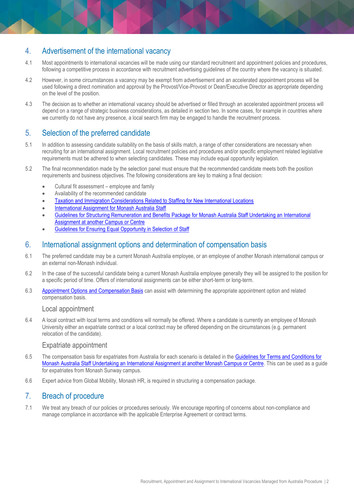## 4. Advertisement of the international vacancy

- 4.1 Most appointments to international vacancies will be made using our standard recruitment and appointment policies and procedures, following a competitive process in accordance with recruitment advertising guidelines of the country where the vacancy is situated.
- 4.2 However, in some circumstances a vacancy may be exempt from advertisement and an accelerated appointment process will be used following a direct nomination and approval by the Provost/Vice-Provost or Dean/Executive Director as appropriate depending on the level of the position.
- 4.3 The decision as to whether an international vacancy should be advertised or filled through an accelerated appointment process will depend on a range of strategic business considerations, as detailed in section two. In some cases, for example in countries where we currently do not have any presence, a local search firm may be engaged to handle the recruitment process.

### 5. Selection of the preferred candidate

- 5.1 In addition to assessing candidate suitability on the basis of skills match, a range of other considerations are necessary when recruiting for an international assignment. Local recruitment policies and procedures and/or specific employment related legislative requirements must be adhered to when selecting candidates. These may include equal opportunity legislation.
- 5.2 The final recommendation made by the selection panel must ensure that the recommended candidate meets both the position requirements and business objectives. The following considerations are key to making a final decision:
	- Cultural fit assessment employee and family
	- Availability of the recommended candidate
	- [Taxation and Immigration Considerations Related to Staffing for New International Locations](http://www.monash.edu/policy-bank/hr/international/guidelines-tax-immigration)
	- [International Assignment for Monash Australia Staff](http://www.monash.edu/policy-bank/hr/international/procedure-short-long-term-assignment)
	- [Guidelines for Structuring Remuneration and Benefits Package for Monash Australia Staff Undertaking an International](http://www.monash.edu/policy-bank/hr/international/guidelines-terms-conditions)  [Assignment at another Campus or Centre](http://www.monash.edu/policy-bank/hr/international/guidelines-terms-conditions)
	- [Guidelines for Ensuring Equal Opportunity in Selection of Staff](http://www.adm.monash.edu.au/sss/equity-diversity/equal-opportunity/policies/guideselection.html)

#### 6. International assignment options and determination of compensation basis

- 6.1 The preferred candidate may be a current Monash Australia employee, or an employee of another Monash international campus or an external non-Monash individual.
- 6.2 In the case of the successful candidate being a current Monash Australia employee generally they will be assigned to the position for a specific period of time. Offers of international assignments can be either short-term or long-term.
- 6.3 [Appointment Options and Compensation Basis](http://www.monash.edu/policy-bank/hr/international/table-appointment-options) can assist with determining the appropriate appointment option and related compensation basis.

#### Local appointment

6.4 A local contract with local terms and conditions will normally be offered. Where a candidate is currently an employee of Monash University either an expatriate contract or a local contract may be offered depending on the circumstances (e.g. permanent relocation of the candidate).

#### Expatriate appointment

- 6.5 The compensation basis for expatriates from Australia for each scenario is detailed in the [Guidelines for Terms and Conditions for](http://www.monash.edu/policy-bank/hr/international/guidelines-terms-conditions)  [Monash Australia Staff Undertaking an International Assignment at another Monash Campus or Centre.](http://www.monash.edu/policy-bank/hr/international/guidelines-terms-conditions) This can be used as a guide for expatriates from Monash Sunway campus.
- 6.6 Expert advice from Global Mobility, Monash HR, is required in structuring a compensation package.

#### 7. Breach of procedure

7.1 We treat any breach of our policies or procedures seriously. We encourage reporting of concerns about non-compliance and manage compliance in accordance with the applicable Enterprise Agreement or contract terms.